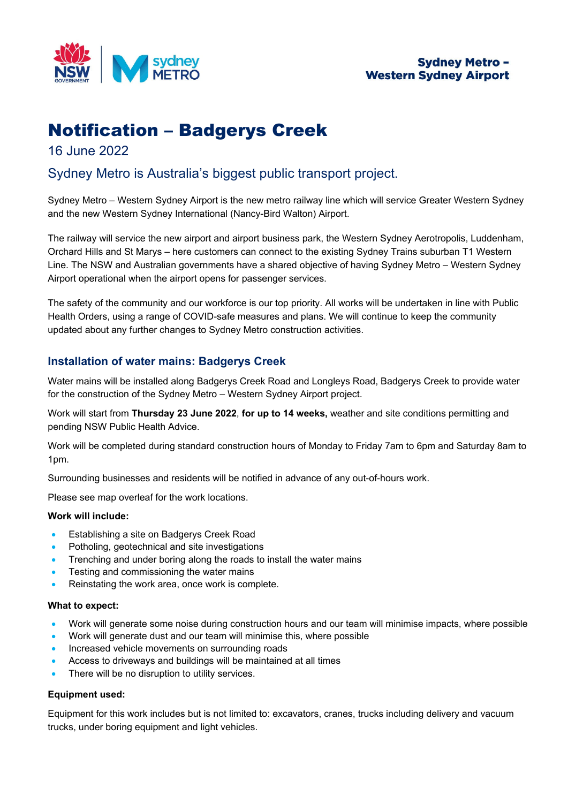

# **Sydney Metro -Western Sydney Airport**

# Notification – Badgerys Creek

# 16 June 2022

# Sydney Metro is Australia's biggest public transport project.

Sydney Metro – Western Sydney Airport is the new metro railway line which will service Greater Western Sydney and the new Western Sydney International (Nancy-Bird Walton) Airport.

The railway will service the new airport and airport business park, the Western Sydney Aerotropolis, Luddenham, Orchard Hills and St Marys – here customers can connect to the existing Sydney Trains suburban T1 Western Line. The NSW and Australian governments have a shared objective of having Sydney Metro – Western Sydney Airport operational when the airport opens for passenger services.

The safety of the community and our workforce is our top priority. All works will be undertaken in line with Public Health Orders, using a range of COVID-safe measures and plans. We will continue to keep the community updated about any further changes to Sydney Metro construction activities.

# **Installation of water mains: Badgerys Creek**

Water mains will be installed along Badgerys Creek Road and Longleys Road, Badgerys Creek to provide water for the construction of the Sydney Metro – Western Sydney Airport project.

Work will start from **Thursday 23 June 2022**, **for up to 14 weeks,** weather and site conditions permitting and pending NSW Public Health Advice.

Work will be completed during standard construction hours of Monday to Friday 7am to 6pm and Saturday 8am to 1pm.

Surrounding businesses and residents will be notified in advance of any out-of-hours work.

Please see map overleaf for the work locations.

#### **Work will include:**

- Establishing a site on Badgerys Creek Road
- Potholing, geotechnical and site investigations
- Trenching and under boring along the roads to install the water mains
- Testing and commissioning the water mains
- Reinstating the work area, once work is complete.

#### **What to expect:**

- Work will generate some noise during construction hours and our team will minimise impacts, where possible
- Work will generate dust and our team will minimise this, where possible
- Increased vehicle movements on surrounding roads
- Access to driveways and buildings will be maintained at all times
- There will be no disruption to utility services.

#### **Equipment used:**

Equipment for this work includes but is not limited to: excavators, cranes, trucks including delivery and vacuum trucks, under boring equipment and light vehicles.